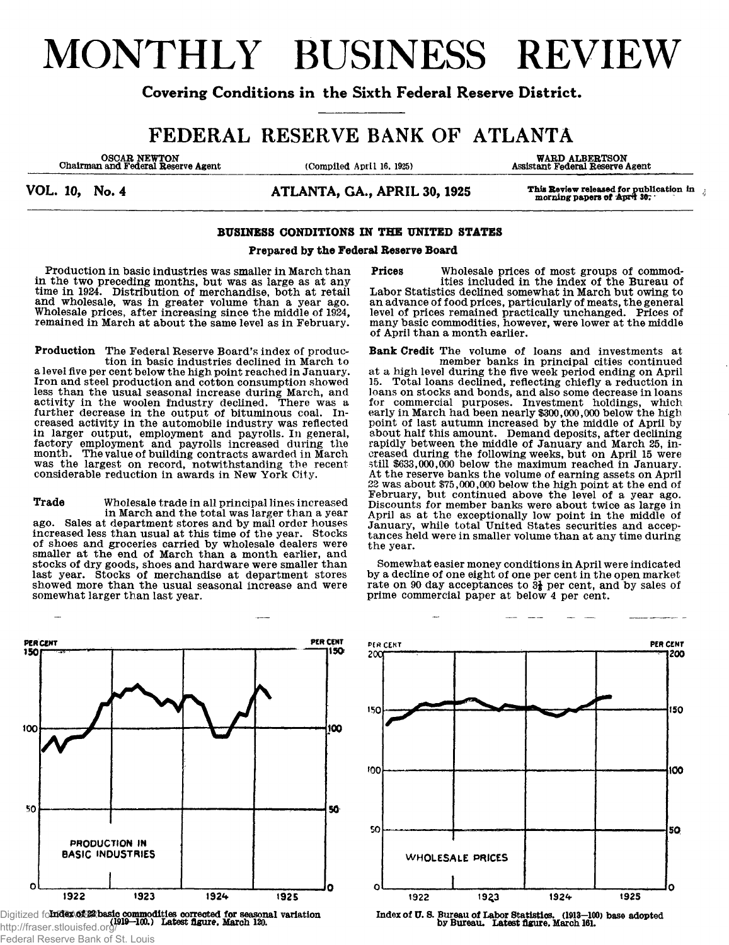# MONTHLY BUSINESS REVIEW

## **Covering Conditions in the Sixth Federal Reserve District.**

## FEDERAL RESERVE BANK OF ATLANTA

OSCAR NEWTON<br>
Chairman and Federal Reserve Agent (Compiled April 16, 1925)

WARD ALBERTSON<br>Assistant Federal Reserve Agent

**Prices Wholesale prices of most groups of commod-**

**Labor Statistics declined somewhat in March but owing to an advance of food prices, particularly of meats, the general level of prices remained practically unchanged. Prices of many basic commodities, however, were lower at the middle**

**Bank Credit The volume of loans and investments at**

**at a high level during the five week period ending on April 15. Total loans declined, reflecting chiefly a reduction in loans on stocks and bonds, and also some decrease in loans for commercial purposes. Investment holdings, which early in March had been nearly \$300,000,000 below the high point of last autumn increased by the middle of April by about half this amount. Demand deposits, after declining rapidly between the middle of January and March 25, increased during the following weeks, but on April 15 were still \$633,000,000 below the maximum reached in January. At the reserve banks the volume of earning assets on April** *22* **was about \$75,000,000 below the high point at the end of February, but continued above the level of a year ago. Discounts for member banks were about twice as large in April as at the exceptionally low point in the middle of January, while total United States securities and acceptances held were in smaller volume than at any time during**

**Somewhat easier money conditions in April were indicated by a decline of one eight of one per cent in the open market rate on 90 day acceptances to 3i per cent, and by sales of**

**prime commercial paper at below 4 per cent.**

**of April than a month earlier.**

**ities included in the index of the Bureau of**

**member banks in principal cities continued**

**the year.**

VOL. 10, No. 4 **ATLANTA, GA., APRIL 30, 1925** This Review released for publication in a morning papers of  $\frac{1}{2}$ 

## **BUSINESS CONDITIONS IN THE UNITED STATES**

## **Prepared by the Federal Reserve Board**

**Production in basic industries was smaller in March than in the two preceding months, but was as large as at anytime in 1924. Distribution of merchandise, both at retail and wholesale, was in greater volume than a year ago. Wholesale prices, after increasing since the middle of 1924, remained in March at about the same level as in February.**

**Production The Federal Reserve Board's index of production in basic industries declined in March to a level five per cent below the high point reached in January. Iron and steel production and cotton consumption showed less than the usual seasonal increase during March, and activity in the woolen industry declined. There was a further decrease in the output of bituminous coal. Increased activity in the automobile industry was reflected in larger output, employment and payrolls. In general, factory employment and payrolls increased during the month. The value of building contracts awarded in March was the largest on record, notwithstanding the recent considerable reduction in awards in New York City.**

**Trade Wholesale trade in all principal lines increased in March and the total was larger than a year ago. Sales at department stores and by mail order houses increased less than usual at this time of the year. Stocks of shoes and groceries carried by wholesale dealers were smaller at the end of March than a month earlier, and stocks of dry goods, shoes and hardware were smaller than last year. Stocks of merchandise at department stores showed more than the usual seasonal increase and were somewhat larger than last year.**

PER CENT **PER CENT**  $150$ 150 100 100 50 50 PRODUCTION IN **BASIC INDUSTRIES** O o 1922 1923 1924 1925

Digitized fo**ludex of 22 basic commodities corrected for seasonal variation**<br>http://fraser.stionisfed.org/919—100.) Latest figure. March 120.<br>http://fraser.stionisfed.org/919—100.) Latest figure. March 120. http://fraser.stlouisfed.org/ Federal Reserve Bank of St. Louis

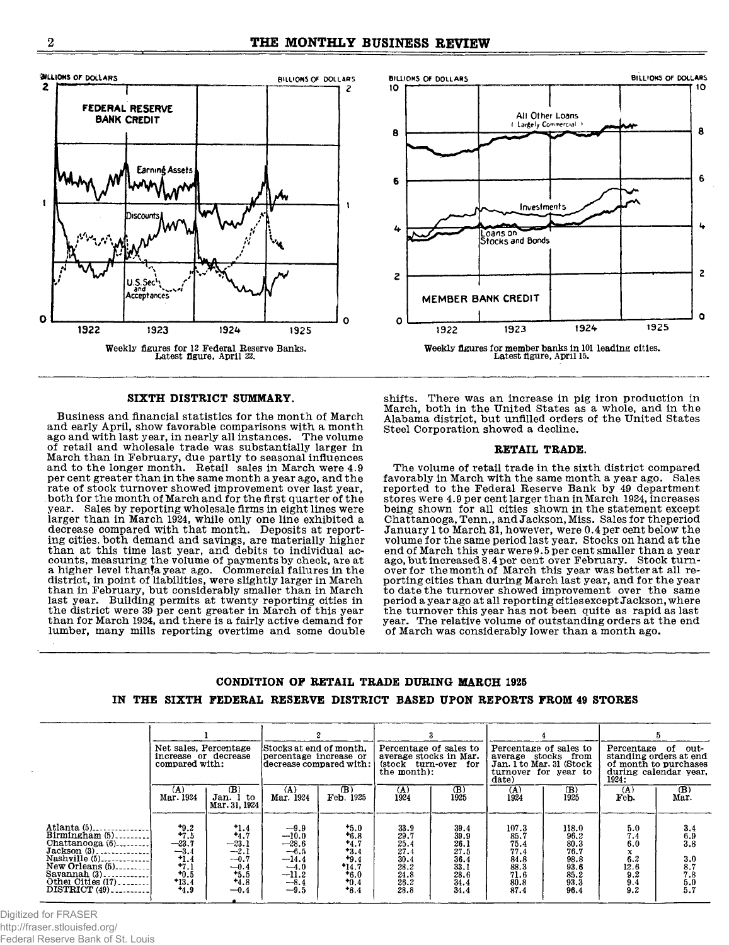8

6

4

S

Ō



## **SIXTH DISTRICT SUMMARY.**

**Business and financial statistics for the month of March and early April, show favorable comparisons with a month, ago and with last year, in nearly all instances. The volume of retail and wholesale trade was substantially larger in March than in February, due partly to seasonal influences and to the longer month. Retail sales in March were 4.9 per cent greater than in the same month a year ago, and the rate of stock turnover showed improvement over last year, both for the month, of March, and for the first quarter of the year. Sales by reporting wholesale firms in eight lines were larger than in March. 1924, while only one line exhibited a decrease compared with that month. Deposits at reporting cities, both demand and savings, are materially higher than at this time last year, and debits to individual accounts, measuring the volume of payments by check, are at a higher level thanja year ago. Commercial failures in the district, in point of liabilities, were slightly larger in March than in February, but considerably smaller than in March last year. Building permits at twenty reporting cities in the district were 39 per cent greater in March of this year** than for March 1924, and there is a fairly active demand for **lumber, many mills reporting overtime and some double**



Weekly figures for member banks in 101 leading cities.<br>Latest figure. April 15.

1924

BILLIONS OF DOLLARS BILLIONS OF DOLLARS BILLIONS OF DOLLARS

All Other Loans

**Investments** 

Loans on<br>Stocks and Bonds

1923

MEMBER BANK CREDIT

1922

**10**

A

6

ι

 $\overline{\mathbf{c}}$ 

 $\mathbf{o}$ 

1925

### **RETAIL TRADE.**

**The volume of retail trade in the sixth district compared favorably in March with the same month a year ago. Sales reported to the Federal Reserve Bank by 49 department stores were 4.9 per cent larger than in March 1924, increases being shown for all cities shown in the statement except Chattanooga, Tenn., and Jackson, Miss. Sales for theperiod January 1 to March 31, however, were 0.4 per cent below the volume for the same period last year. Stocks on hand at the end of March this year were 9.5 per cent smaller than a year ago, but increased 8.4 per cent over February. Stock turnover for the month of March this year was better at all reporting cities than during March last year, and for the year to date the turnover showed improvement over the same period a year ago at all reporting cities except Jackson, where the turnover this year has not been quite as rapid as last year. The relative volume of outstanding orders at the end of March was considerably lower than a month ago.**

## **CONDITION OP RETAIL TRADE DURING MARCH 1925 IN THE SIXTH FEDERAL RESERVE DISTRICT BASED UPON REPORTS FROM 49 STORES**

|                                                                                                                                                                    | Net sales, Percentage<br>increase or decrease<br>compared with:                             |                                                                                          | Stocks at end of month.<br>percentage increase or<br>decrease compared with:                |                                                                                         | Percentage of sales to<br>average stocks in Mar.<br>(stock turn-over for<br>the month): |                                                                      | Percentage of sales to<br>average stocks from<br>Jan. 1 to Mar. 31 (Stock)<br>turnover for year to<br>date) |                                                                       | Percentage of<br>out-<br>standing orders at end<br>of month to purchases<br>during calendar vear.<br>1924 :                     |                                                                |
|--------------------------------------------------------------------------------------------------------------------------------------------------------------------|---------------------------------------------------------------------------------------------|------------------------------------------------------------------------------------------|---------------------------------------------------------------------------------------------|-----------------------------------------------------------------------------------------|-----------------------------------------------------------------------------------------|----------------------------------------------------------------------|-------------------------------------------------------------------------------------------------------------|-----------------------------------------------------------------------|---------------------------------------------------------------------------------------------------------------------------------|----------------------------------------------------------------|
|                                                                                                                                                                    | $(\Lambda)$<br>Mar. 1924                                                                    | (B)<br>Jan. 1 to<br>Mar. 31, 1924                                                        | (A)<br>Mar. 1924                                                                            | (B)<br>Feb. 1925                                                                        | $(\Lambda)$<br>1924                                                                     | (B)<br>1925                                                          | (A)<br>1924                                                                                                 | (B)<br>1925                                                           | (A)<br>Feb.                                                                                                                     | (B)<br>Mar.                                                    |
| Atlanta $(5)$<br>Birmingham $(5)$<br>Chattanooga $(6)$<br>$Jackson (3)$<br>Nashville (5)<br>New Orleans (5)<br>Savannah (3)<br>Other Cities (17)<br>$DISTRICT(49)$ | $+9.2$<br>$+7.5$<br>$\frac{-23.7}{-3.4}$<br>$+1.4$<br>$+7.1$<br>$+0.5$<br>$+13.4$<br>$+4.9$ | $\frac{1.4}{4.7}$<br>$-23.1$<br>$-2.1$<br>$-0.7$<br>$-0.4$<br>$+5.5$<br>$+4.8$<br>$-0.4$ | $-9.9$<br>$-10.0$<br>-28.6<br>$-6.5$<br>$-14.4$<br>$-4.0$<br>$\frac{-11.2}{-8.4}$<br>$-9.5$ | $+5.0$<br>$+6.8$<br>$+4.7$<br>$+3.4$<br>$+9.4$<br>$*14.7$<br>$+6.0$<br>$+0.4$<br>$*8.4$ | 33.9<br>29.7<br>25.4<br>27.4<br>30.4<br>28.2<br>24.8<br>26.2<br>28.8                    | 39.4<br>39.9<br>26.1<br>27.5<br>36.4<br>33.1<br>28.6<br>34.4<br>34.4 | 107.3<br>85.7<br>75.4<br>77.4<br>84.8<br>88.3<br>71.6<br>80.8<br>87.4                                       | 118.0<br>96.2<br>80.3<br>76.7<br>98.8<br>93.6<br>85.2<br>93.3<br>96.4 | $\begin{smallmatrix} 5.0 \ 7.4 \ 6.0 \end{smallmatrix}$<br>x<br>6.2<br>$\begin{array}{c} 12.6 \\ 9.2 \\ 9.4 \\ 9.2 \end{array}$ | 3.46.9<br>3.8<br>3.0<br>$\frac{8.7}{7.8}$<br>$\frac{5.0}{5.7}$ |

Digitized for FRASER http://fraser.stlouisfed.org/ Federal Reserve Bank of St. Louis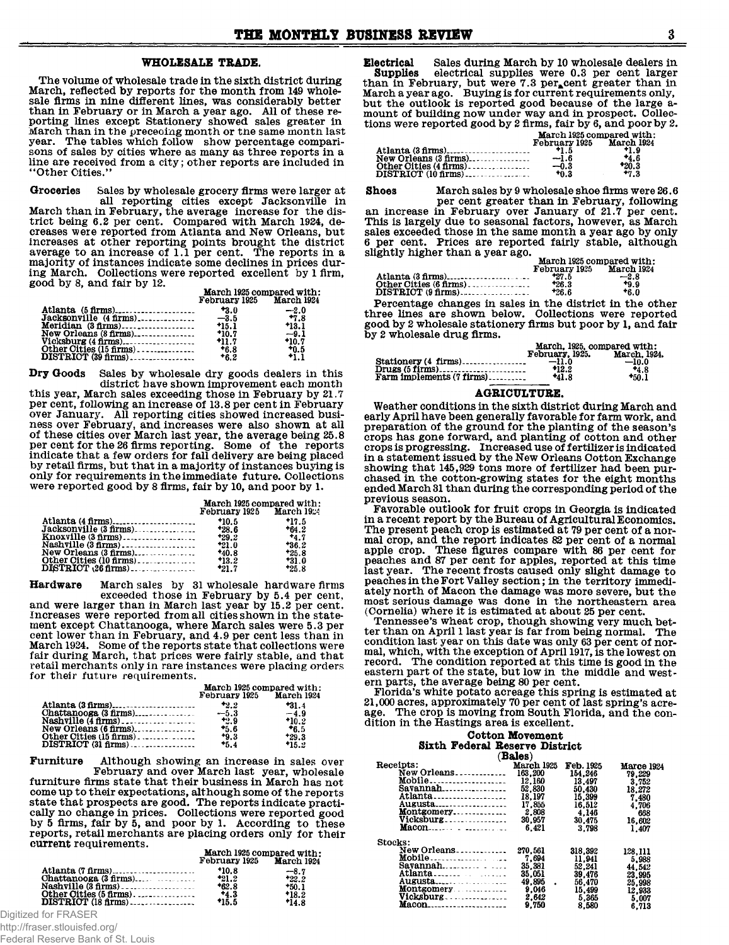## **WHOLESALE TRADE.**

**The volume of wholesale trade in the sixth district during March, reflected by reports for the month from 149 wholesale firms in nine different lines, was considerably better than in February or in March a year ago. All of these reporting lines except Stationery showed sales greater in March than in the preceoing month or the same month last year. The tables which follow show percentage comparisons of sales by cities where as many as three reports in a line are received from a city; other reports are included in "Other Cities."**

**Groceries Sales by wholesale grocery firms were larger at**

**all reporting cities except Jacksonville in March than in February, the average increase for the district being 6.2 per cent. Compared with March 1924, decreases were reported from Atlanta and New Orleans, but increases at other reporting points brought the district average to an increase of 1.1 per cent. The reports in a majority of instances indicate some declines in prices during March. Collections were reported excellent by 1 firm, good by 8, and fair by 12.**

|                                                                                   | March 1925 compared with:<br>February 1925 March 1924 |                                       |  |
|-----------------------------------------------------------------------------------|-------------------------------------------------------|---------------------------------------|--|
| Atlanta (5 firms)<br>New Orleans (8 firms)                                        | $+3.0$<br>$*10.7$                                     | $-2.0$<br>$+7.8$<br>$+13.1$<br>$-9.1$ |  |
| Vicksburg (4 firms)<br>Other Cities (15 firms).<br>$\textbf{DISTRICT}$ (39 firms) | $+11.7$<br>$+6.8$<br>$+6.2$                           | $+10.7$<br>$*0.5$<br>$^{*}1.1$        |  |

**Dry Goods Sales by wholesale dry goods dealers in this district have shown improvement each month**

**this year, March sales exceeding those in February by 21.7 per cent, following an increase of 13.8 per cent in February over January. All reporting cities showed increased business over February, and increases were also shown at all of these cities over March last year, the average being 25.8 per cent for the 26 firms reporting. Some of the reports indicate that a few orders for fall delivery are being placed by retail firms, but that in a majority of instances buying is only for requirements in the immediate future. Collections were reported good by 8 firms, fair by 10, and poor by 1.**

|                                          | March 1925 compared with:    |         |  |
|------------------------------------------|------------------------------|---------|--|
|                                          | February $1925$ March $1924$ |         |  |
|                                          | $+10.5$                      | $+17.5$ |  |
|                                          |                              | $+64.2$ |  |
|                                          |                              | 4.7     |  |
|                                          |                              | $+36.2$ |  |
|                                          |                              | $+25.8$ |  |
|                                          |                              | $+31.0$ |  |
| $\textbf{DISTRICT} \ (26 \text{ firms})$ | $-21.7$                      | $+25.8$ |  |

**Hardware March sales by 31 wholesale hardware firms exceeded those in February by 5.4 per cent, and were larger than in March last year by 15.2 per cent. Increases were reported from all cities shown in the statement except Chattanooga, where March sales were 5.3 per cent lower than in February, and 4.9 per cent less than in March 1924. Some of the reports state that collections were fair during March, that prices were fairly stable, and that retail merchants only in rare instances were placing orders for their future requirements.**

|                                     | March 1925 compared with:<br>February 1925 March 1924 |         |  |
|-------------------------------------|-------------------------------------------------------|---------|--|
|                                     |                                                       | $*31.4$ |  |
|                                     |                                                       | $-4.9$  |  |
|                                     |                                                       | $*10.2$ |  |
| New Orleans (6 firms)______________ | $+5.6$                                                | $+6.5$  |  |
| Other Cities (15 firms).            | $+9.3$                                                | $+29.3$ |  |
|                                     | $-5.4$                                                | $*15.2$ |  |

**Furniture Although showing an increase in sales over February and over March last year, wholesale furniture firms state that their business in March has not come up to their expectations, although some of the reports state that prospects are good. The reports indicate practically no change in prices. Collections were reported good by 5 firms, fair by 5, and poor by 1. According to these reports, retail merchants are placing orders only for their current requirements.**

|         | March 1925 compared with:<br>February 1925 March 1924 |  |  |
|---------|-------------------------------------------------------|--|--|
|         |                                                       |  |  |
|         | -8.7                                                  |  |  |
|         | $+22.2$                                               |  |  |
|         | $+50.1$                                               |  |  |
|         | $*18.2$                                               |  |  |
| $+15.5$ | $+14.8$                                               |  |  |

Digitized for FRASER

http://fraser.stlouisfed.org/

Federal Reserve Bank of St. Louis

**Electrical Sales during March by 10 wholesale dealers in Supplies electrical supplies were 0.3 per cent larger than in February, but were 7.3 per-cent greater than in March a year ago. Buying is for current requirements only, but the outlook is reported good because of the large amount of building now under way and in prospect. Collections were reported good by 2 firms, fair by 6, and poor by 2.** March 1925 compared with :

| maich 1949 compared with. |                                                                           |  |
|---------------------------|---------------------------------------------------------------------------|--|
|                           | March 1924                                                                |  |
| $+1.5$                    | +1.9                                                                      |  |
| $-1.6$                    | *4.6                                                                      |  |
| $-0.3$                    | *20.3                                                                     |  |
| +0.3                      | $+7.3$                                                                    |  |
|                           | February 1925<br>Atlanta (3 firms)<br>New Orleans (3 firms)______________ |  |

**Shoes March sales by 9 wholesale shoe firms were 26.6 per cent greater than in February, following an increase in February over January of 21.7 per cent. This is largely due to seasonal factors, however, as March sales exceeded those in the same month a year ago by only 6 per cent. Prices are reported fairly stable, although slightly higher than a year ago.**

|                        | March 1925 compared with:   |        |  |
|------------------------|-----------------------------|--------|--|
|                        | March 1924<br>February 1925 |        |  |
|                        | +27.5                       | $-2.8$ |  |
| Other Cities (6 firms) | $+26.3$                     | +9.9   |  |
|                        | $*26.6$                     | *6.0   |  |

**Percentage changes in sales in the district in the other three lines are shown below. Collections were reported good by 2 wholesale stationery firms but poor by 1, and fair by 2 wholesale drug firms.**

|                                     | March, 1925, compared with: |              |
|-------------------------------------|-----------------------------|--------------|
|                                     | February, 1925.             | March. 1924. |
|                                     | $-11.0$                     | $-10.0$      |
|                                     | *12.2                       | $+4.8$       |
| Farm implements $(7 \text{ firms})$ | *41.8                       | *50.1        |
|                                     |                             |              |

## **AGRICULTURE.**

**Weather conditions in the sixth district during March and early April have been generally favorable for farm work, and preparation of the ground for the planting of the season's crops has gone forward, and planting of cotton and other crops is progressing. Increased use of fertilizer is indicated in a statement issued by the New Orleans Ootton Exchange showing that 145,929 tons more of fertilizer had been purchased in the cotton-growing states for the eight months ended March 31 than during the corresponding period of the previous season.**

**Favorable outlook for fruit crops in Georgia is indicated in a recent report by the Bureau of Agricultural Economics. The present peach crop is estimated at 79 per cent of a normal crop, and the report indicates 82 per cent of a normal apple crop. These figures compare with 86 per cent for peaches and 87 per cent for apples, reported at this time last year. The recent frosts caused only slight damage to peaches in the Fort Valley section; in the territory immediately north of Macon the damage was more severe, but the most serious damage was done in the northeastern area (Cornelia) where it is estimated at about 25 per cent.**

**Tennessee's wheat crop, though showing very much better than on April 1 last year is far from being normal. The condition last year on this date was only 63 per cent of normal, which, with the exception of April 1917, is the lowest on record. The condition reported at this time is good in the eastern part of the state, but low in the middle and western parts, the average being 80 per cent.**

**Florida's white potato acreage this spring is estimated at 21,000 acres, approximately 70 per cent of last spring's acreage. The crop is moving from South Florida, and the condition in the Hastings area is excellent.**

| Cotton Movement |  |        |                                |  |
|-----------------|--|--------|--------------------------------|--|
|                 |  |        | Sixth Federal Reserve District |  |
|                 |  | (2000) |                                |  |

|                 | <b>Bales</b> ) |                  |            |
|-----------------|----------------|------------------|------------|
| Receipts:       | March 1925     | <b>Feb.</b> 1925 | Marce 1924 |
| New Orleans     | 163.200        | 154.246          | 79.229     |
| Mobile          | 12.160         | 13.497           | 3.752      |
| Savannah        | 52,830         | 50.430           | 18.272     |
| Atlanta         | 18.197         | 15,399           | 7.480      |
| <b>Augusta</b>  | 17.855         | 16.512           | 4.706      |
| Montgomery      | 2.808          | 4.146            | 668        |
| Vicksburg       | 30.957         | 30.475           | 16.602     |
| $Macon \tldots$ | 6.421          | 3.798            | 1.407      |
| Stocks:         |                |                  |            |
| New Orleans     | 270,561        | 318.392          | 128.111    |
| Mobile          | 7.694          | 11.941           | 5.988      |
| Savannah        | 35.381         | 52.241           | 44.542     |
|                 | 35.051         | 39.476           | 23.995     |
| Augusta         | 49.895         | 56.470           | 25.998     |
| Montgomery      | 9.046          | 15,499           | 12,933     |
| Vicksburg       | 2.642          | 5.365            | 5.007      |
| Macon           | 9.750          | 8.580            | 6.713      |
|                 |                |                  |            |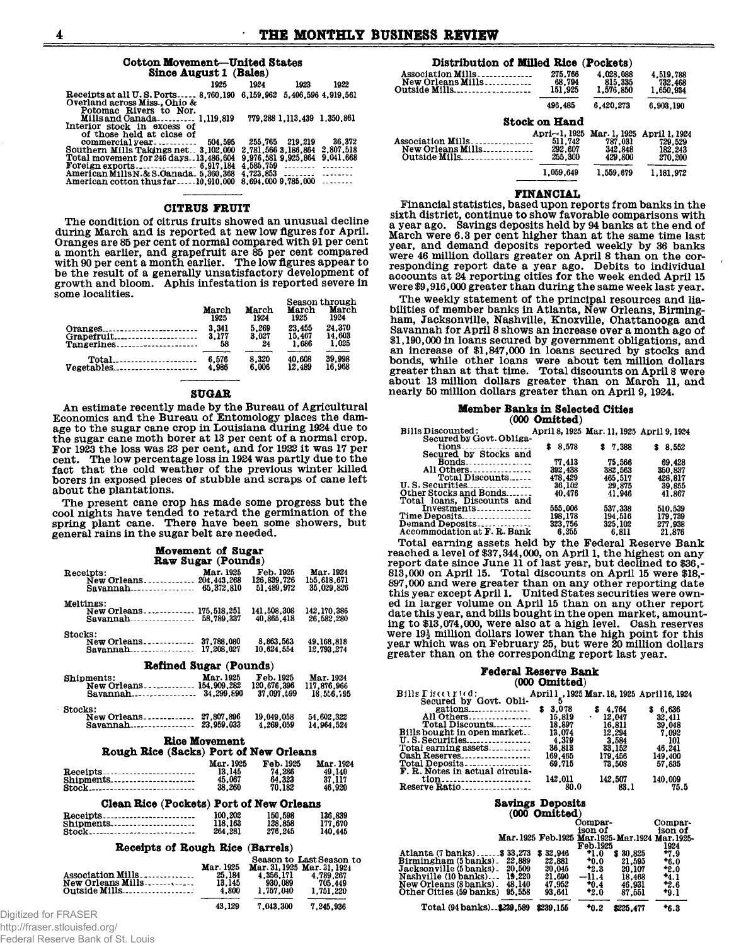## Cotton Movement-United States Since August 1 (Bales)

|                                                                                                              | 1925    | 1924    | 1923                        | 1922                |
|--------------------------------------------------------------------------------------------------------------|---------|---------|-----------------------------|---------------------|
| Receipts at all U.S. Ports 8.760.190 6.159.962 5.406.596 4.919.561<br>Overland across Miss., Ohio &          |         |         |                             |                     |
| Potomac Rivers to Nor.<br>Mills and Canada 1.119.819<br>Interior stock in excess of                          |         |         | 779.288 1.113.439 1.350.861 |                     |
| of those held at close of<br>commercial year<br>Southern Mills Takings net - 3 102 000 - 2 781 566 3 186 864 | 504.595 | 255.765 | 219.219                     | 36.372<br>2.807.518 |

| Total movement for 246 days13,486,604 9.976,581 9.925,864 9.041,668 |  |
|---------------------------------------------------------------------|--|
|                                                                     |  |
| American Mills N.& S.Oanada 5.360.368 4.723.853                     |  |
| American cotton thus far10,910,000 8,694,000 9,785,000              |  |

## **CITRUS FRUIT**

The condition of citrus fruits showed an unusual decline during March and is reported at new low figures for April. Oranges are 85 per cent of normal compared with 91 per cent a month earlier, and grapefruit are 85 per cent compared<br>with 90 per cent a month earlier. The low figures appear to<br>be the result of a generally unsatisfactory development of growth and bloom. Aphis infestation is reported severe in some localities.

|            | March<br>1925 | March<br>1924 | March<br>1925 | <b>Season through</b><br>March<br>1924 |
|------------|---------------|---------------|---------------|----------------------------------------|
| Oranges    | 3.341         | 5.269         | 23.455        | 24.370                                 |
| Grapefruit | 3.177         | 3.027         | 15.467        | 14.603                                 |
| Tangerines | 58            | 24            | 1.686         | 1.025                                  |
|            | 6.576         | 8.320         | 40.608        | 39,998                                 |
| Vegetables | 4.986         | 6.006         | 12.489        | 16.968                                 |

### **SUGAR**

An estimate recently made by the Bureau of Agricultural Economics and the Bureau of Entomology places the damage to the sugar cane crop in Louisiana during 1924 due to the sugar cane moth boret at 13 per cent of a normal crop.<br>For 1923 the loss was 23 per cent, and for 1922 it was 17 per<br>cent. The low percentage loss in 1924 was partly due to the fact that the cold weather of the previous winter killed borers in exposed pieces of stubble and scraps of cane left about the plantations.

The present cane crop has made some progress but the cool nights have tended to retard the germination of the spring plant cane. There have been some showers, but general rains in the sugar belt are needed.

|                                               | Movement of Sugar         |                             |                          |
|-----------------------------------------------|---------------------------|-----------------------------|--------------------------|
|                                               | <b>Raw Sugar (Pounds)</b> |                             |                          |
| Receipts:                                     | Mar. 1925                 | Feb. 1925                   | Mar. 1924                |
| New Orleans 204.443.268                       |                           | 126.839.726                 | 155.618.671              |
| Savannah 65.372.810                           |                           | 51.489.972                  | 35.029.826               |
| Meltings:                                     |                           |                             |                          |
| New Orleans 175.518.251                       |                           | 141,508,308                 | 142.170.386              |
| Savannah 58.789.337                           |                           | 40.865.418                  | 26,582,280               |
| Stocks:                                       |                           |                             |                          |
| New Orleans 37.788.080<br>Savannah 17,208,027 |                           | 8.863.563<br>10.624.554     | 49.168.818               |
|                                               |                           |                             | 12,793,274               |
| <b>Refined Sugar (Pounds)</b>                 |                           |                             |                          |
| Shipments:                                    | Mar. 1925                 | Feb. 1925                   | Mar. 1924                |
| New Orleans 154,909,282                       |                           | 120.676.396                 | 117,876,966              |
|                                               |                           | 37.097.599                  | 18.556.195               |
| Stocks:                                       |                           |                             |                          |
| New Orleans 27.807.896                        |                           | 19,049,058                  | 54.602.322               |
|                                               |                           | 4.269.059                   | 14.964.524               |
|                                               | <b>Rice Movement</b>      |                             |                          |
| Rough Rice (Sacks) Port of New Orleans        |                           |                             |                          |
|                                               | Mar. 1925                 | Feb. 1925                   | Mar. 1924                |
| Receipts                                      | 13.145                    | 74.286                      | 49,140                   |
| Shipments                                     | 45.067                    | 64.323                      | 37,117                   |
| Stock                                         | 38.260                    | 70.182                      | 46,920                   |
| Clean Rice (Pockets) Port of New Orleans      |                           |                             |                          |
| Receipts                                      | 100.202                   | 150,598                     | 136,839                  |
| Shipments                                     | 118,163                   | 128,858                     | 177,670                  |
| Stock                                         | 264,281                   | 276.245                     | 140.445                  |
| Receipts of Rough Rice (Barrels)              |                           |                             |                          |
|                                               |                           |                             | Season to Last Season to |
|                                               | Mar. 1925                 | Mar. 31, 1925 Mar. 31, 1924 |                          |
| Association Mills                             | 25.184                    | 4.356.171                   | 4.789.267                |
| New Orleans Mills                             | 13.145                    | 930.089                     | 705,449                  |
| Outside Mills                                 | 4.800                     | 1.757.040                   | 1.751.220                |

#### 43.129 7,043,300 7,245,936

Digitized for FRASER http://fraser.stlouisfed.org/

Federal Reserve Bank of St. Louis

| Distribution of Milled Rice (Pockets)                                            |                                                |                                               |                                                |
|----------------------------------------------------------------------------------|------------------------------------------------|-----------------------------------------------|------------------------------------------------|
| Association Mills<br>New Orleans Mills                                           | 275,766<br>68.794<br>151.925                   | 4.028.088<br>815,335<br>1,576,850             | 4.519.788<br>732,468<br>1.650.934              |
|                                                                                  | 496.485                                        | 6.420.273                                     | 6.903.190                                      |
|                                                                                  | <b>Stock on Hand</b>                           |                                               |                                                |
| <b>Association Mills.</b><br>------------<br>New Orleans Mills<br>Outside $M11s$ | Apri--1, 1925<br>511.742<br>292.607<br>255,300 | Mar. 1, 1925<br>787.031<br>342,848<br>429,800 | April 1, 1924<br>729.529<br>182.243<br>270.200 |
|                                                                                  | 1.059.649                                      | 1.559.679                                     | 1.181.972                                      |

#### **FINANCIAL**

Financial statistics, based upon reports from banks in the sixth district, continue to show favorable comparisons with a year ago. Savings deposits held by 94 banks at the end of March were 6.3 per cent higher than at the same time last<br>year, and demand deposits reported weekly by 36 banks<br>were 46 million dollars greater on April 8 than on the corresponding report date a year ago. Debits to individual<br>accounts at 24 reporting cities for the week ended April 15 were \$9,916,000 greater than during the same week last year.

The weekly statement of the principal resources and liabilities of member banks in Atlanta, New Orleans, Birmingham, Jacksonville, Nashville, Knoxville, Chattanooga and Savannah for April 8 shows an increase over a month ago of \$1,190,000 in loans secured by government obligations, and expression in the secured by stocks and<br>an increase of \$1,847,000 in loans secured by stocks and<br>bonds, while other loans were about ten million dollars<br>greater than at that time. Total discounts on April 8 were about 13 million dollars greater than on March 11, and nearly 50 million dollars greater than on April 9, 1924.

#### **Member Banks in Selected Cities**  $(000 \t Omitted)$

| <b>Bills Discounted:</b>                     |         | April 8, 1925 Mar. 11, 1925 April 9, 1924 |         |
|----------------------------------------------|---------|-------------------------------------------|---------|
| Secured by Govt. Obliga-                     |         |                                           |         |
| $tions$                                      | \$8.578 | \$7.388                                   | \$8.552 |
| Secured by Stocks and                        |         |                                           |         |
| $\text{Bonds} \dots \dots \dots \dots \dots$ | 77.413  | 75.566                                    | 69.428  |
| All Others                                   | 392,438 | 382,563                                   | 350.837 |
| Total Discounts                              | 478.429 | 465.517                                   | 428.817 |
| $U.S.Securities \ldots \ldots$               | 36,102  | 29.875                                    | 39.855  |
| Other Stocks and Bonds                       | 40.476  | 41.946                                    | 41.867  |
| Total loans, Discounts and                   |         |                                           |         |
| $Investments \dots \dots \dots \dots$        | 555.006 | 537.338                                   | 510.539 |
| Time Deposits                                | 198.178 | 194.516                                   | 179.739 |
| Demand Deposits                              | 323.756 | 325,102                                   | 277.938 |
| Accommodation at F. R. Bank                  | 6.255   | 6.811                                     | 21,876  |

Total earning assets held by the Federal Reserve Bank reached a level of \$37,344,000, on April 1, the highest on any report date since June 11 of last year, but declined to \$36,-813,000 on April 15. Total discounts on April 15 were \$18,-897,000 and were greater than on any other reporting date<br>this year except April 1. United States securities were own-<br>ed in larger volume on April 15 than on any other report date this year, and bills bought in the open market, amounting to \$13,074,000, were also at a high level. Cash reserves were  $19\frac{1}{2}$  million dollars lower than the high point for this year which was on February 25, but were 20 million dollars greater than on the corresponding report last year.

#### **Federal Reserve Bank**  $(000 \text{ Omittad})$

| $\mathbf{B}$ ills $\Gamma$ is counted:<br>Secured by Govt. Obli- |                  |                        | April 1 , 1925 Mar. 18, 1925 April 16, 1924 |
|------------------------------------------------------------------|------------------|------------------------|---------------------------------------------|
| $\text{rations}$ $\ldots$ $\ldots$ $\ldots$<br>All Others        | 3.078<br>15.819  | \$4.764<br>12.047<br>٠ | \$6.636<br>32,411                           |
| Total Discounts<br>Bills bought in open market                   | 18.897<br>13.074 | 16.811<br>12.294       | 39.048<br>7.092                             |
| Total earning assets                                             | 4.379<br>36.813  | 3.584<br>33, 152       | -101<br>46.241                              |
| Cash Reserves                                                    | 169,465          | 179,456                | 149,400                                     |
| Total Deposits<br>F. R. Notes in actual circula-                 | 69.715           | 73.508                 | 57.835                                      |
| tion<br>Reserve Ratio                                            | 142.011<br>80.0  | 142,507<br>83.1        | 140,009<br>75.5                             |

## **Savings Deposits**

|                                   |           | Compar-   |           | Compar-                                            |
|-----------------------------------|-----------|-----------|-----------|----------------------------------------------------|
|                                   |           | ison of   |           | ison of                                            |
|                                   |           |           |           | Mar. 1925 Feb. 1925 Mar. 1925-Mar. 1924 Mar. 1925- |
|                                   |           | Feb.1925  |           | 1924                                               |
| $-$33.273$<br>Atlanta (7 banks)   | \$32,946  | +1.0      | \$30.825  | $+7.9$                                             |
| 22.889<br>Birmingham (5 banks).   | 22.881    | $+0.0$    | 21.595    | +6.0                                               |
| Jacksonville (5 banks).<br>20.509 | 20.045    | 42.3      | 20.107    | $^{+2.0}$                                          |
| Nashville (10 banks)<br>19.220    | 21.690    | -11.4     | 18.468    | *4.1                                               |
| 48.140<br>New Orleans (8 banks).  | 47.952    | $^{*0.4}$ | 46.931    | 42.6                                               |
| 95.558<br>Other Cities (59 banks) | 93.641    | +2.0      | 87,551    | tg.1                                               |
|                                   |           |           |           |                                                    |
| Total (94 banks). \$239,589       | \$239,155 | +0.2      | \$225.477 | *6.3                                               |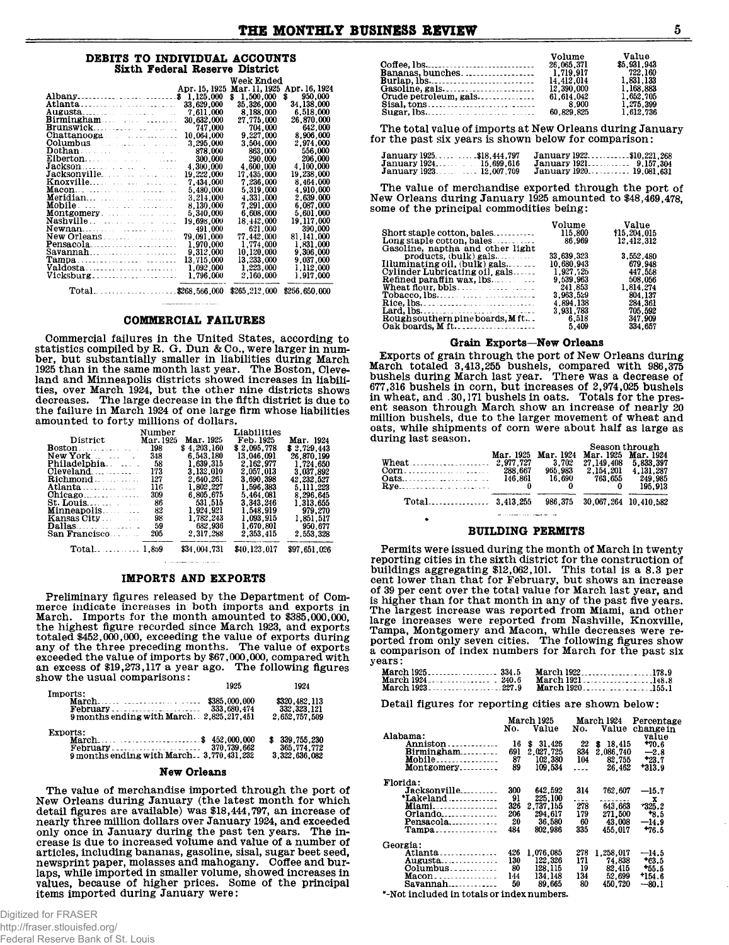## DEBITS TO INDIVIDUAL ACCOUNTS **Sixth Federal Reserve District**

|                                                                                                                                                                                                                                      |               | Week Ended      |                   |
|--------------------------------------------------------------------------------------------------------------------------------------------------------------------------------------------------------------------------------------|---------------|-----------------|-------------------|
|                                                                                                                                                                                                                                      | Apr. 15, 1925 | Mar. 11, 1925   | Apr. 16, 1924     |
| Albany\$ 1,125,000                                                                                                                                                                                                                   |               | 1,500,000<br>Ŝ. | s<br>950,000      |
|                                                                                                                                                                                                                                      | 33,629,000    | 35,326,000      | <b>34.138.000</b> |
|                                                                                                                                                                                                                                      | 7.611.000     | 8,188,000       | 6.518.000         |
| Birmingham                                                                                                                                                                                                                           | 30.632.000    | 27.775.000      | 26,870,000        |
|                                                                                                                                                                                                                                      | 747,000       | 704.000         | 642,000           |
| Chattanooga                                                                                                                                                                                                                          | 10.064.000    | 9.227.000       | 8.906.000         |
| Columbus. The contract of the collection of the collection of the collection of the collection of the collection                                                                                                                     | 3.295.000     | 3.504.000       | 2.974.000         |
| $\mathbf{Dothan}$ . The set of the set of the set of the set of the set of the set of the set of the set of the set of the set of the set of the set of the set of the set of the set of the set of the set of the set of the set of | 878,000       | 863.000         | 556,000           |
|                                                                                                                                                                                                                                      | 300,000       | 290,000         | 206,000           |
| $\textbf{Jackson} \dots \dots \dots \dots$                                                                                                                                                                                           | 4.300.000     | 4.600.000       | 4.100.000         |
|                                                                                                                                                                                                                                      | 19.222.000    | 17.435.000      | 19.238.000        |
|                                                                                                                                                                                                                                      | 7.434.000     | 7.236.000       | 8.464.000         |
|                                                                                                                                                                                                                                      | 5.480.000     | 5.319.000       | 4.910.000         |
|                                                                                                                                                                                                                                      | 3,214,000     | 4.331.000       | 2.639.000         |
|                                                                                                                                                                                                                                      | 8,130,000     | 7.291.000       | 6.087.000         |
| <b>Montgomery</b> .                                                                                                                                                                                                                  | 5.340.000     | 6.608.000       | 5,601,000         |
|                                                                                                                                                                                                                                      | 19,698,000    | 18.442,000      | 19.117.000        |
| Newnan                                                                                                                                                                                                                               | 491,000       | 621.000         | 390.000           |
| New Orleans.                                                                                                                                                                                                                         | 79.091.000    | 77.442.000      | 81.141.000        |
|                                                                                                                                                                                                                                      | 1.970.000     | 1.774.000       | 1.831.000         |
| $\texttt{Savannah}$                                                                                                                                                                                                                  | 9,312,000     | 10,120,000      | 9,306,000         |
| Tampa                                                                                                                                                                                                                                | 13.715.000    | 13.233.000      | 9.037.000         |
|                                                                                                                                                                                                                                      | 1,092,000     | 1.223.000       | 1,112,000         |
|                                                                                                                                                                                                                                      | 1,796,000     | 2.160.000       | 1.917.000         |
| $Total$ \$268,566,000 \$265,212,000                                                                                                                                                                                                  |               |                 | \$256,650.000     |

### **COMMERCIAL FAILURES**

Commercial failures in the United States, according to statistics compiled by R. G. Dun & Co., were larger in number, but substantially smaller in liabilities during March<br>1925 than in the same month last year. The Boston, Cleve-Find and Minneapolis districts showed increases in liabilities, over March 1924, but the other nine districts shows decreases. The large decrease in the fifth district is due to the failure in March 1924 of one large firm whose liabilities amounted to forty millions of dollars.

|                                                          | Number    |              | Liabilities  |              |
|----------------------------------------------------------|-----------|--------------|--------------|--------------|
| District                                                 | Mar. 1925 | Mar. 1925    | Feb. 1925    | Mar. 1924    |
| $\textbf{Boston} \dots \dots \dots \dots$                | 198       | \$4,203,160  | \$2.095.778  | \$2.729.443  |
| New York                                                 | 348       | 6.543.180    | 13.046.091   | 26.870.199   |
| Philadelphia                                             | -58       | 1.639.315    | 2.162.977    | 1.724.650    |
| $\alpha$ of $\alpha$ and $\beta$ is a series of $\alpha$ | 173       | 3.132.010    | 2.057.013    | 3.037.892    |
| Richmond                                                 | 127       | 2.640.261    | 3.690.398    | 42.232.527   |
| Atlanta                                                  | 116       | 1.802.227    | 1.596.383    | 5.111.223    |
|                                                          | 309       | 6.805.675    | 5.464.081    | 8.296.645    |
| $St. Louis. \ldots$                                      | - 86      | 531.515      | 3.343.246    | 1.313.655    |
| Minneapolis.                                             | 82        | 1.924.921    | 1.548.919    | 979,270      |
| Kansas City                                              | 98        | 1.782.243    | 1.093.915    | 1,851,517    |
|                                                          | 59        | 682.936      | 1.670.801    | 950.677      |
| San Francisco                                            | 205       | 2.317.288    | 2.353.415    | 2.553.328    |
|                                                          |           | \$34.004.731 | \$40,123,017 | \$97.651.026 |

## $\mathbf{A}$  , a construction of the contract of the state of  $\mathbf{A}$ **IMPORTS AND EXPORTS**

Preliminary figures released by the Department of Commerce indicate increases in both imports and exports in March. Imports for the month amounted to \$385,000,000, the highest figure recorded since March 1923, and exports totaled \$452,000,000, exceeding the value of exports during<br>any of the three preceding months. The value of exports<br>exceeded the value of imports by \$67,000,000, compared with an excess of \$19,273,117 a year ago. The following figures show the usual comparisons:

|                                                                             | 1925 | 1924                                            |
|-----------------------------------------------------------------------------|------|-------------------------------------------------|
| Imports:<br>9 months ending with March. 2.825.217.451                       |      | \$320,482,113<br>332, 323, 121<br>2.652.757.509 |
| Exports:<br>March\$ 452,000,000<br>9 months ending with March 3.770.431.232 |      | \$39,755,230<br>365.774.772<br>3,322,636,082    |

## New Orleans

The value of merchandise imported through the port of The Orleans during January (the latest month for which<br>detail figures are available) was \$18,444,797, an increase of nearly three million dollars over January 1924, and exceeded noisy once in January during the past ten years. The increase is due to increased volume and value of a number of articles, including bananas, gasoline, sisal, sugar beet seed, newsprint paper, molasses and mahogany. Coffee and burlaps, while imported in smaller volume, showed increases in values, because of higher prices. Some of the principal items imported during January were:

|                                                       | Volume     | Value       |
|-------------------------------------------------------|------------|-------------|
|                                                       | 26,065,371 | \$5,931,943 |
|                                                       |            | 722,160     |
|                                                       | 14.412.014 | 1.831.133   |
|                                                       | 12.390.000 | 1.168.883   |
| Crude petroleum, gals                                 | 61.614.042 | 1.652.705   |
| $Sisal, tons, \ldots, \ldots, \ldots, \ldots, \ldots$ | 8.900      | 1,275,399   |
| $Sugar, lbs, \ldots, \ldots, \ldots, \ldots, \ldots$  | 60.829.825 | 1.612.736   |

The total value of imports at New Orleans during January for the past six years is shown below for comparison:

| January 1925\$18.444.797 |            | January 1922\$10,221.268 |           |
|--------------------------|------------|--------------------------|-----------|
|                          | 15.699.616 | January 1921.            | 9.157.304 |
|                          |            | January 1920 19.081.631  |           |

The value of merchandise exported through the port of New Orleans during January 1925 amounted to \$48,469,478. some of the principal commodities being:

 $U_{\alpha}$ luma

 $\mathbf{v}$ alaa

|                                       | value               |
|---------------------------------------|---------------------|
| 115.800<br>Short staple cotton, bales | \$15,204,015        |
| 86.969<br>Long staple cotton, bales   | 12,412,312          |
|                                       |                     |
| 33,639,323                            | 3.552.480           |
| 10.680.943                            | 679.948             |
| 1.927.725                             | 447.558             |
| 9.539.963                             | 508.056             |
| 241.853                               | 1.814.274           |
| 3.963.529                             | 804.137             |
| 4.894.138                             | 284.361             |
|                                       | 705.592             |
| 6.518                                 | 347.909             |
| 5.409                                 | 334.657             |
|                                       | voiume<br>3.931.783 |

## Grain Exports-New Orleans

Exports of grain through the port of New Orleans during Exports of grain through the port of new Orleans during<br>hardh totaled 3,413,255 bushels, compared with 986,375<br>bushels during March last year. There was a decrease of<br>677,316 bushels in corn, but increases of 2,974,025 bus million bushels, due to the larger movement of wheat and oats, while shipments of corn were about half as large as during last season.  $\mathcal{O}_{\mathcal{O}(\mathcal{O})}$ 

|  | Mar. 1925 Mar. 1924<br>3.702<br>965.983 | Mar. 1925 Mar. 1924<br>27.149.408 5.833.397<br>2.154.201 | beason uifough<br>4.131.287 |
|--|-----------------------------------------|----------------------------------------------------------|-----------------------------|
|  |                                         | 16,690 763,655 249,985                                   | 195.913                     |
|  |                                         | 986.375 30.067.264 10.410.582                            |                             |
|  |                                         |                                                          |                             |

## **BUILDING PERMITS**

Permits were issued during the month of March in twenty reporting cities in the sixth district for the construction of buildings aggregating \$12,062,101. This total is a 8.3 per cent lower than that for February, but shows an increase<br>of 39 per cent over the total value for March last year, and is higher than for that month in any of the past five years. The largest increase was reported from Miami, and other large increases were reported from Nashville, Knoxville, Tampa, Montgomery and Macon, while decreases were re-<br>ported from only seven cities. The following figures show<br>a comparison of index numbers for March for the past six years:

|                                     | March 1921148.8 |
|-------------------------------------|-----------------|
| March 1923. 227.9 March 1920. 155.1 |                 |

Detail figures for reporting cities are shown below:

|                                           |     | March 1925  |                | March 1924 | Percentage |
|-------------------------------------------|-----|-------------|----------------|------------|------------|
|                                           | No. | Value       | No.            | Value      | change in  |
| Alabama:                                  |     |             |                |            | value      |
| <b>Anniston</b>                           | 16  | S<br>31.425 | 22             | \$18,415   | $+70.6$    |
| $Birmingham$                              | 691 | 2,027,725   | 834            | 2.086.740  | $-2.8$     |
|                                           | 87  | 102,380     | 104            | 82,755     | $+23.7$    |
| Montgomery                                | 89  | 109.534     | . . <i>.</i> . | 26.462     | $+313.9$   |
| Florida:                                  |     |             |                |            |            |
| Jacksonville                              | 300 | 642.592     | 314            | 762.607    | $-15.7$    |
| *Lakeland                                 | 91  | 225,100     | ----           |            | x          |
| <b>Miami</b>                              | 326 | 2.737.155   | 278            | 643.663    | 325.2      |
| $Orlando_{\ldots}$                        | 206 | 294.617     | 179            | 271,500    | $+8.5$     |
| $Pensacola$ <sub>---------------</sub>    | 20  | 36,580      | 60             | 43.008     | $-14.9$    |
| Tampa                                     | 484 | 802.986     | 335            | 455.017    | $*76.5$    |
| Georgia:                                  |     |             |                |            |            |
| Atlanta                                   | 426 | 1.076.085   | 278            | 1.258.017  | $-14.5$    |
| <b>Augusta</b> _______________            | 130 | 122,326     | 171            | 74.838     | $+63.5$    |
|                                           | 80  | 128.115     | 19             | 82.415     | $+55.5$    |
| $Macon$                                   | 144 | 134.148     | 134            | 52,699     | $*154.6$   |
| $Savannah$                                | 50  | 89.665      | 80             | 450.720    | $-80.1$    |
| * Not included in totals or index numbers |     |             |                |            |            |

'-Not included in totals or index numbers.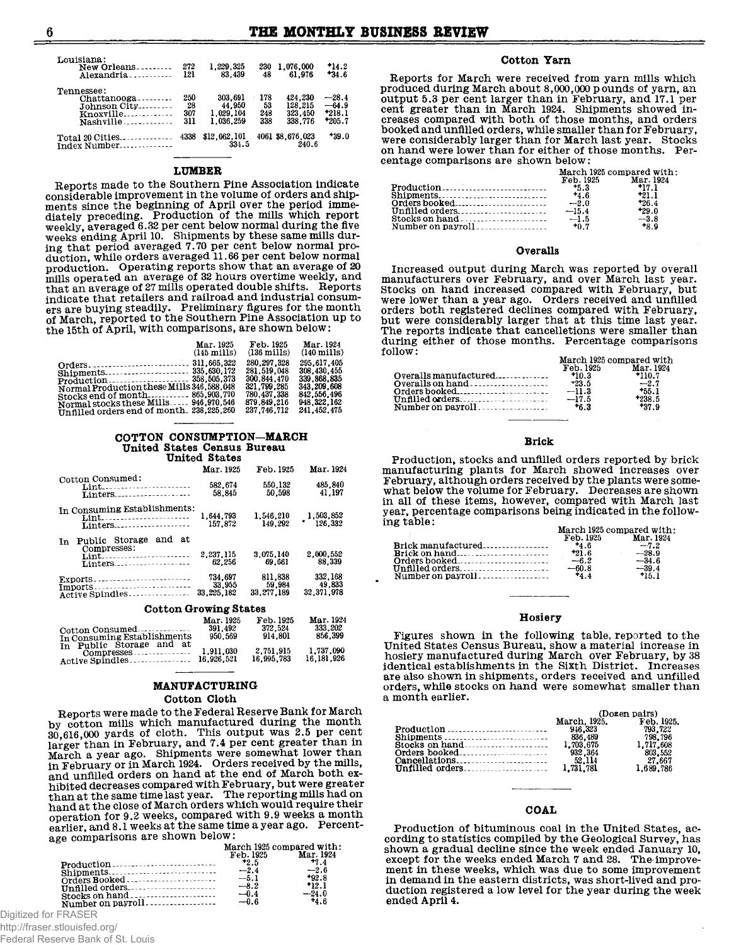| Louisiana:<br>New Orleans<br>Alexandria                                           | 272<br>121              | 1.229.325<br>83.439                         | 230<br>48               | 1.076.000<br>61.976                      | 14.2<br>$*34.6$                            |
|-----------------------------------------------------------------------------------|-------------------------|---------------------------------------------|-------------------------|------------------------------------------|--------------------------------------------|
| Tennessee:<br>Chattanooga<br>Johnson City<br>Knoxville<br>$Nashville$ ----------- | 250<br>28<br>307<br>311 | 303.691<br>44.950<br>1.029.104<br>1.036.259 | 178<br>53<br>248<br>338 | 424.230<br>128.215<br>323.450<br>338.776 | $-28.4$<br>$-64.9$<br>$*218.1$<br>$*205.7$ |
| Total 20 Cities<br>Index Number                                                   | 4338                    | \$12,062,101<br>334.5                       |                         | 4061 \$8,676,023<br>240.6                | $+39.0$                                    |

#### **LUMBER**

Reports made to the Southern Pine Association indicate considerable improvement in the volume of orders and shipconsiderable improvement in the volume of orders and simp-<br>diately preceding. Production of the mills which report<br>weekly, averaged 6.32 per cent below normal during the five<br>weeks ending April 10. Shipments by these same ing that period averaged 7.70 per cent below normal production, while orders averaged 11.66 per cent below normal production. Operating reports show that an average of 20 mills operated an average of 32 hours overtime weekly, and that an average of 27 mills operated double shifts. Reports indicate that retailers and railroad and industrial consumers are buying steadily. Preliminary figures for the month of March, reported to the Southern Pine Association up to the 15th of April, with comparisons, are shown below:

| 280.297.328<br>308.430.455<br>281.519.048                                                                                                                                                                         | Mar. 1925<br>$(145 \text{ miles})$ | Feb. 1925<br>$(136 \text{ miles})$ | Mar. 1924<br>$(140 \text{ mills})$ |
|-------------------------------------------------------------------------------------------------------------------------------------------------------------------------------------------------------------------|------------------------------------|------------------------------------|------------------------------------|
| 321.799.285<br>343.209.608<br>Normal Production these Mills 346, 588, 048<br>842.556.496<br>780.437.338<br>Stocks end of month 865.903.770<br>948.322.162<br>879.849.216<br>Normal stocks these Mills 946.970.546 |                                    | 300.844.470                        | 295.617.405<br>339.868.835         |

## COTTON CONSUMPTION-MARCH United States Census Bureau<br>United States

|                                                                                    | Mar. 1925                       | Feb. 1925                       | Mar. 1924                       |
|------------------------------------------------------------------------------------|---------------------------------|---------------------------------|---------------------------------|
| Cotton Consumed:<br>Lint <sub>-----------------------</sub><br>Linters             | 582.674<br>58.845               | 550.132<br>50.598               | 485.840<br>41.197               |
| In Consuming Establishments:<br>Lint <sub>-----------------------</sub><br>Linters | 1.644.793<br>157.872            | 1.546.210<br>149.292            | 1,503,852<br>126,332            |
| and<br>-at<br>Public Storage<br>In<br>Compresses:<br>Lint<br>Linters               | 2.237.115<br>62.256             | 3.075.140<br>69.661             | 2.000.552<br>88.339             |
| Exports<br>Imports<br>Active Spindles                                              | 734.697<br>33.955<br>33.225.182 | 811.838<br>59.984<br>33,277,189 | 332.168<br>49.833<br>32.371.978 |
| Asttan Anamina Bhatas                                                              |                                 |                                 |                                 |

**Cotton Growing States** 

| Cotton Consumed<br>In Consuming Establishments         | Mar. 1925<br>391.492<br>950.569 | Feb. 1925<br>372.524<br>914.801 | Mar. 1924<br>333.202<br>856.399 |
|--------------------------------------------------------|---------------------------------|---------------------------------|---------------------------------|
| In Public Storage and at<br>Active Spindles 16,926.521 |                                 | 2.751.915<br>16.995.783         | 1.737.090<br>16.181.926         |

## MANUFACTURING

## Cotton Cloth

Reports were made to the Federal Reserve Bank for March by cotton mills which manufactured during the month 30,616,000 yards of cloth. This output was 2.5 per cent blarger than in February, and 7.4 per cent greater than in<br>March a year ago. Shipments were somewhat lower than<br>in February or in March 1924. Orders received by the mills, and unfilled orders on hand at the end of March both exand the decreases compared with February, but were greater<br>than at the same time last year. The reporting mills had on<br>hand at the close of March orders which would require their operation for 9.2 weeks, compared with 9.9 weeks a month earlier, and 8.1 weeks at the same time a year ago. Percentage comparisons are shown below:

|                                     | Feb. 1925                  | March 1925 compared with:<br>Mar. 1924 |
|-------------------------------------|----------------------------|----------------------------------------|
|                                     | $+2.5$<br>$-2.4$<br>$-5.1$ | $+7.4$<br>$-2.6$<br>$+92.8$<br>$+12.1$ |
| Stocks on hand<br>Number on payroll | $-8.2$<br>$-0.4$<br>$-0.6$ | $-24.0$<br>44.6                        |

Digitized for FRASER

http://fraser.stlouisfed.org/

Federal Reserve Bank of St. Louis

## Cotton Yarn

Reports for March were received from yarn mills which produced during March about 8,000,000 pounds of yarn, an output 5.3 per cent larger than in February, and 17.1 per cent greater than in March 1924. Shipments showed increases compared with both of those months, and orders booked and unfilled orders, while smaller than for February, were considerably larger than for March last year. Stocks on hand were lower than for either of those months. Percentage comparisons are shown below:

|         | March 1925 compared with:                                                |
|---------|--------------------------------------------------------------------------|
|         | Mar. 1924                                                                |
| -5.3    | $+17.1$                                                                  |
| $+4.6$  | $+21.1$                                                                  |
|         | $*26.4$                                                                  |
| $-15.4$ | $+29.0$                                                                  |
|         | $-3.8$                                                                   |
| $+0.7$  | $+8.9$                                                                   |
|         | Feb. 1925<br>$Shipments \dots \dots \dots \dots \dots \dots \dots \dots$ |

#### Overalls

Increased output during March was reported by overall manufacturers over February, and over March last year. Stocks on hand increased compared with February, but<br>were lower than a year ago. Orders received and unfilled<br>orders both registered declines compared with February, but were considerably larger that at this time last year. The reports indicate that cancelletions were smaller than during either of those months. Percentage comparisons follow: March 1925 compared with

|                                 | ALUZ VAL LUNU UULUULUL VUL 11 LULI |           |
|---------------------------------|------------------------------------|-----------|
|                                 | Feb. 1925                          | Mar. 1924 |
| $Overalls$ manufactured $*10.3$ |                                    | $+110.7$  |
| Overalls on hand $\ldots$       | $-23.5$                            | $-2.7$    |
|                                 | $-11.3$                            | $+55.1$   |
|                                 |                                    | $+238.5$  |
| Number on payroll               | $+6.3$                             | $+37.9$   |
|                                 |                                    |           |

### **Brick**

Production, stocks and unfilled orders reported by brick Trouveling plants for March showed increases over<br>February, although orders received by the plants were somewhat below the volume for February. Decreases are shown in all of these items, however, compared with March last year, percentage comparisons being indicated in the following table: March 1925 compared with .

|                    | march 1949 compared with |           |
|--------------------|--------------------------|-----------|
|                    | Feb. 1925                | Mar. 1924 |
| Brick manufactured | 4.6                      | $-7.2$    |
|                    | $+21.6$                  | $-28.9$   |
|                    | $-6.2$                   | $-34.6$   |
|                    | $-60.8$                  | $-39.4$   |
|                    | $+4.4$                   | $+15.1$   |
|                    |                          |           |

#### Hosiery

Figures shown in the following table, reported to the United States Census Bureau, show a material increase in<br>hosiery manufactured during March over February, by 38<br>identical establishments in the Sixth District. Increases are also shown in shipments, orders received and unfilled orders, while stocks on hand were somewhat smaller than<br>a month earlier.

 $\overline{a}$ 

المستعاد

| почениять,              |           |  |
|-------------------------|-----------|--|
| March, 1925. Feb. 1925. |           |  |
| 946.323                 | 793.722   |  |
|                         | 798.796   |  |
|                         | 1.717.608 |  |
| 932, 364                | 803.552   |  |
| 52.114                  | 27.667    |  |
|                         | 1.689.786 |  |
|                         |           |  |

## COAL

Production of bituminous coal in the United States, according to statistics compiled by the Geological Survey, has shown a gradual decline since the week ended January 10, except for the weeks ended March 7 and 28. The improvement in these weeks, which was due to some improvement<br>in demand in the eastern districts, was short-lived and production registered a low level for the year during the week ended April 4.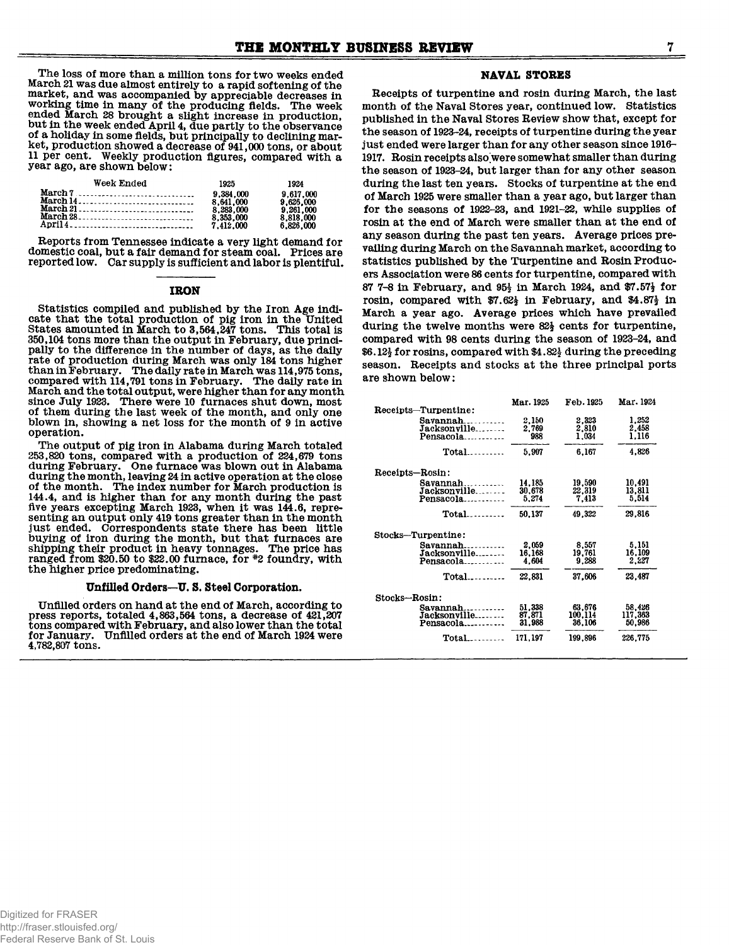**The loss of more than a million tons for two weeks ended March 21 was due almost entirely to a rapid softening of the market, and was accompanied by appreciable decreases in working time in many of the producing fields. The week ended March 28 brought a slight increase in production, but in the week ended April 4, due partly to the observance of a holiday in some fields, but principally to declining market, production showed a decrease of 941,000 tons, or about 11 per cent. Weekly production figures, compared with a year ago, are shown below:**

| Week Ended | 1925      | 1924      |
|------------|-----------|-----------|
| March 7    | 9.384.000 | 9.617.000 |
|            | 8.641.000 | 9.626.000 |
|            | 8.283.000 | 9.261.000 |
|            | 8.353.000 | 8.818.000 |
|            | 7.412.000 | 6.826.000 |

**Reports from Tennessee indicate a very light demand for domestic coal, but a fair demand for steam coal. Prices are reported low. Oar supply is sufficient and labor is plentiful.**

#### **IRON**

**Statistics compiled and published by the Iron Age indicate that the total production of pig iron in the United States amounted in March to 3,564,247 tons. This total is 350,104 tons more than the output in February, due principally to the difference in the number of days, as the daily rate of production during March was only 184 tons higher than in February. The daily rate in March was 114,975 tons, compared with 114,791 tons in February. The daily rate in March and the total output, were higher than for any month since July 1923. There were 10 furnaces shut down, most of them during the last week of the month, and only one blown in, showing a net loss for the month of 9 in active operation.**

**The output of pig iron in Alabama during March totaled 253,820 tons, compared with a production of 224,679 tons during February. One furnace was blown out in Alabama during the month, leaving 24 in active operation at the close of the month. The index number for March production is 144.4, and is higher than for any month during the past** five years excepting March 1923, when it was 144.6, repre**senting an output only 419 tons greater than in the month just ended. Correspondents state there has been little buying of iron during the month, but that furnaces are shipping their product in heavy tonnages. The price has ranged from \$20.50 to \$22.00 furnace, for #2 foundry, with the higher price predominating.**

## **Unfilled Orders—U. S. Steel Corporation.**

**Unfilled orders on hand at the end of March, according to press reports, totaled 4,863,564 tons, a decrease of 421,207 tons compared with February, and also lower than the total for January. Unfilled orders at the end of March 1924 were 4,782,807 tons.**

## **NAVAL STORES**

**Receipts of turpentine and rosin during March, the last month of the Naval Stores year, continued low. Statistics published in the Naval Stores Review show that, except for the season of 1923-24, receipts of turpentine during the year just ended were larger than for any other season since 1916- 1917. Rosin receipts also were somewhat smaller than during the season of 1923-24, but larger than for any other season during the last ten years. Stocks of turpentine at the end of March 1925 were smaller than a year ago, but larger than for the seasons of 1922-23, and 1921-22, while supplies of rosin at the end of March were smaller than at the end of any season during the past ten years. Average prices prevailing during March on the Savannah market, according to statistics published by the Turpentine and Rosin Producers Association were 86 cents for turpentine, compared with 87 7-8 in February, and 95i in March 1924, and \$7.57J for rosin, compared with \$7.62| in February, and \$4.87§ in March a year ago. Average prices which have prevailed during the twelve months were 82J cents for turpentine, compared with 98 cents during the season of 1923-24, and \$6.12-| for rosins, compared with \$4.82| during the preceding season. Receipts and stocks at the three principal ports are shown below:**

|                                | Mar. 1925 | Feb. 1925 | Mar. 1924 |
|--------------------------------|-----------|-----------|-----------|
| Receipts-Turpentine:           |           |           |           |
| Savannah                       | 2,150     | 2,323     | 1,252     |
| Jacksonville                   | 2.769     | 2.810     | 2,458     |
| Pensacola                      | 988       | 1.034     | 1.116     |
| Total<br><b><i><u></u></i></b> | 5.907     | 6,167     | 4,826     |
| Receipts-Rosin:                |           |           |           |
| $savannah$                     | 14,185    | 19.590    | 10.491    |
| Jacksonville                   | 30,678    | 22,319    | 13.811    |
| Pensacola                      | 5.274     | 7.413     | 5.514     |
| $Total$                        | 50.137    | 49.322    | 29.816    |
| Stocks-Turpentine:             |           |           |           |
| $Savannah$                     | 2.059     | 8.557     | 5.151     |
| Jacksonville                   | 16,168    | 19.761    | 16.109    |
| Pensacola                      | 4.604     | 9.288     | 2.227     |
| $Total$                        | 22.831    | 37,606    | 23,487    |
| Stocks-Rosin:                  |           |           |           |
| Savannah                       | 51,338    | 63.676    | 58,426    |
| Jacksonville                   | 87,871    | 100,114   | 117,363   |
| Pensacola                      | 31.988    | 36.106    | 50.986    |
| Total.<br>.                    | 171.197   | 199.896   | 226.775   |